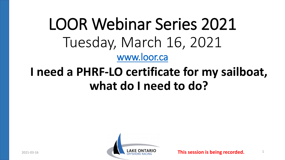# LOOR Webinar Series 2021 Tuesday, March 16, 2021 [www.loor.ca](http://www.loor.ca/)

## **I need a PHRF-LO certificate for my sailboat, what do I need to do?**

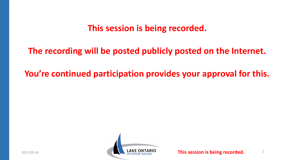#### **This session is being recorded.**

#### **The recording will be posted publicly posted on the Internet.**

#### **You're continued participation provides your approval for this.**

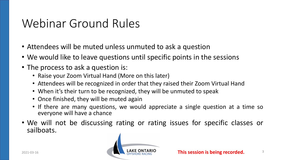## Webinar Ground Rules

- Attendees will be muted unless unmuted to ask a question
- We would like to leave questions until specific points in the sessions
- The process to ask a question is:
	- Raise your Zoom Virtual Hand (More on this later)
	- Attendees will be recognized in order that they raised their Zoom Virtual Hand
	- When it's their turn to be recognized, they will be unmuted to speak
	- Once finished, they will be muted again
	- If there are many questions, we would appreciate a single question at a time so everyone will have a chance
- We will not be discussing rating or rating issues for specific classes or sailboats.

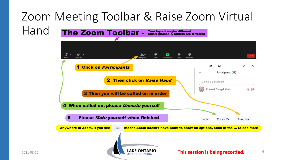#### Zoom Meeting Toolbar & Raise Zoom Virtual Hand The Zoom Toolbar -Your layout maybe different Smart phones & tablets are different

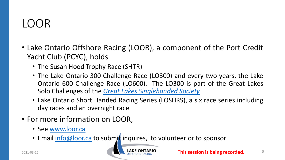### $LOOR$

- Lake Ontario Offshore Racing (LOOR), a component of the Port Credit Yacht Club (PCYC), holds
	- The Susan Hood Trophy Race (SHTR)
	- The Lake Ontario 300 Challenge Race (LO300) and every two years, the Lake Ontario 600 Challenge Race (LO600). The LO300 is part of the Great Lakes Solo Challenges of the *Great Lakes [Singlehanded](https://www.solosailors.org/) Society*
	- Lake Ontario Short Handed Racing Series (LOSHRS), a six race series including day races and an overnight race
- For more information on LOOR,
	- See [www.loor.ca](http://www.loor.ca/)
	- Email [info@loor.ca](mailto:info@loor.ca) to submit inquires, to volunteer or to sponsor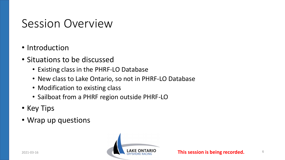### Session Overview

- Introduction
- Situations to be discussed
	- Existing class in the PHRF-LO Database
	- New class to Lake Ontario, so not in PHRF-LO Database
	- Modification to existing class
	- Sailboat from a PHRF region outside PHRF-LO
- Key Tips
- Wrap up questions

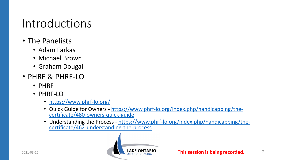#### Introductions

- The Panelists
	- Adam Farkas
	- Michael Brown
	- Graham Dougall
- PHRF & PHRF-LO
	- PHRF
	- PHRF-LO
		- <https://www.phrf-lo.org/>
		- Quick Guide for Owners [https://www.phrf-lo.org/index.php/handicapping/the-](https://www.phrf-lo.org/index.php/handicapping/the-certificate/480-owners-quick-guide) certificate/480-owners-quick-guide
		- Understanding the Process [https://www.phrf-lo.org/index.php/handicapping/the-](https://www.phrf-lo.org/index.php/handicapping/the-certificate/462-understanding-the-process)<br>certificate/462-understanding-the-process

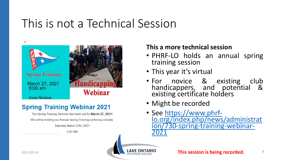### This is not a Technical Session



#### **Spring Training Webinar 2021**

The Spring Training Seminar has been set for March 27, 2021! We will be holding our Annual Spring Training workshop virtually.

Saturday March 27th, 2021

 $9.00$  AM

#### **This a more technical session**

- PHRF-LO holds an annual spring training session
- This year it's virtual
- For novice & existing club handicappers, and potential & existing certificate holders
- Might be recorded
- See https://www.phrf-<br>[lo.org/index.php/news/administrat](https://www.phrf-lo.org/index.php/news/administration/730-spring-training-webinar-2021) ion/730-spring-training-webinar-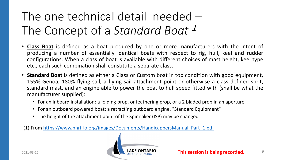## The one technical detail needed – The Concept of a *Standard Boat* <sup>1</sup>

- **Class Boat** is defined as a boat produced by one or more manufacturers with the intent of producing a number of essentially identical boats with respect to rig, hull, keel and rudder configurations. When a class of boat is available with different choices of mast height, keel type etc., each such combination shall constitute a separate class.
- **Standard Boat** is defined as either a Class or Custom boat in top condition with good equipment, 155% Genoa, 180% flying sail, a flying sail attachment point or otherwise a class defined sprit, standard mast, and an engine able to power the boat to hull speed fitted with (shall be what the manufacturer supplied):
	- For an inboard installation: a folding prop, or feathering prop, or a 2 bladed prop in an aperture.
	- For an outboard powered boat: a retracting outboard engine. "Standard Equipment"
	- The height of the attachment point of the Spinnaker (ISP) may be changed

(1) From [https://www.phrf-lo.org/images/Documents/HandicappersManual\\_Part\\_1.pdf](https://www.phrf-lo.org/images/Documents/HandicappersManual_Part_1.pdf)

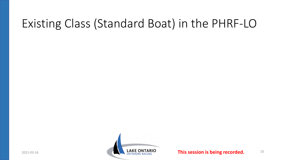### Existing Class (Standard Boat) in the PHRF-LO

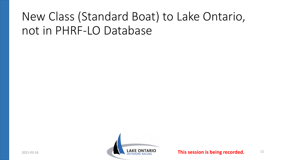## New Class (Standard Boat) to Lake Ontario, not in PHRF-LO Database

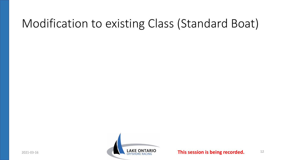### Modification to existing Class (Standard Boat)

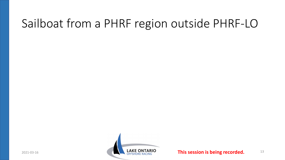### Sailboat from a PHRF region outside PHRF-LO

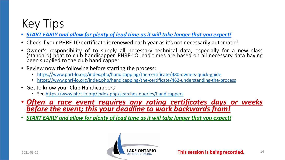## Key Tips

- *START EARLY and allow for plenty of lead time as it will take longer that you expect!*
- Check if your PHRF-LO certificate is renewed each year as it's not necessarily automatic!
- Owner's responsibility of to supply all necessary technical data, especially for a new class (standard) boat to club handicapper. PHRF-LO lead times are based on all necessary data having<br>been supplied to the club handicapper
- Review now the following before starting the process:
	- <https://www.phrf-lo.org/index.php/handicapping/the-certificate/480-owners-quick-guide>
	- <https://www.phrf-lo.org/index.php/handicapping/the-certificate/462-understanding-the-process>
- Get to know your Club Handicappers
	- See <https://www.phrf-lo.org/index.php/searches-queries/handicappers>
- *Often a race event requires any rating certificates days or weeks before the event; this your deadline to work backwards from!*
- *START EARLY and allow for plenty of lead time as it will take longer that you expect!*

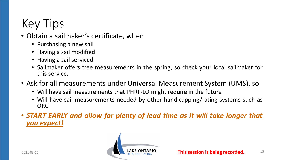## Key Tips

#### • Obtain a sailmaker's certificate, when

- Purchasing a new sail
- Having a sail modified
- Having a sail serviced
- Sailmaker offers free measurements in the spring, so check your local sailmaker for this service.
- Ask for all measurements under Universal Measurement System (UMS), so
	- Will have sail measurements that PHRF-LO might require in the future
	- Will have sail measurements needed by other handicapping/rating systems such as ORC
- *START EARLY and allow for plenty of lead time as it will take longer that you expect!*

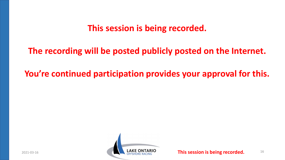#### **This session is being recorded.**

#### **The recording will be posted publicly posted on the Internet.**

#### **You're continued participation provides your approval for this.**

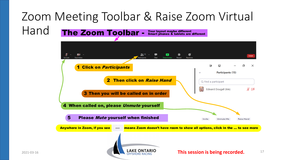#### Zoom Meeting Toolbar & Raise Zoom Virtual Hand The Zoom Toolbar -Your layout maybe different Smart phones & tablets are different

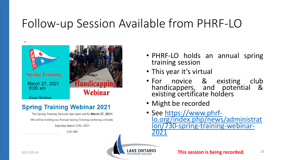### Follow-up Session Available from PHRF-LO



#### **Spring Training Webinar 2021**

The Spring Training Seminar has been set for March 27, 2021! We will be holding our Annual Spring Training workshop virtually.

Saturday March 27th, 2021

 $9.00$  AM

- PHRF-LO holds an annual spring training session
- This year it's virtual
- For novice & existing club handicappers, and potential & existing certificate holders
- Might be recorded
- See https://www.phrf-<br>[lo.org/index.php/news/administrat](https://www.phrf-lo.org/index.php/news/administration/730-spring-training-webinar-2021) ion/730-spring-training-webinar-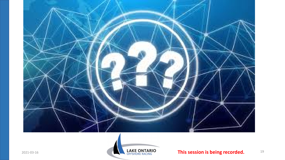